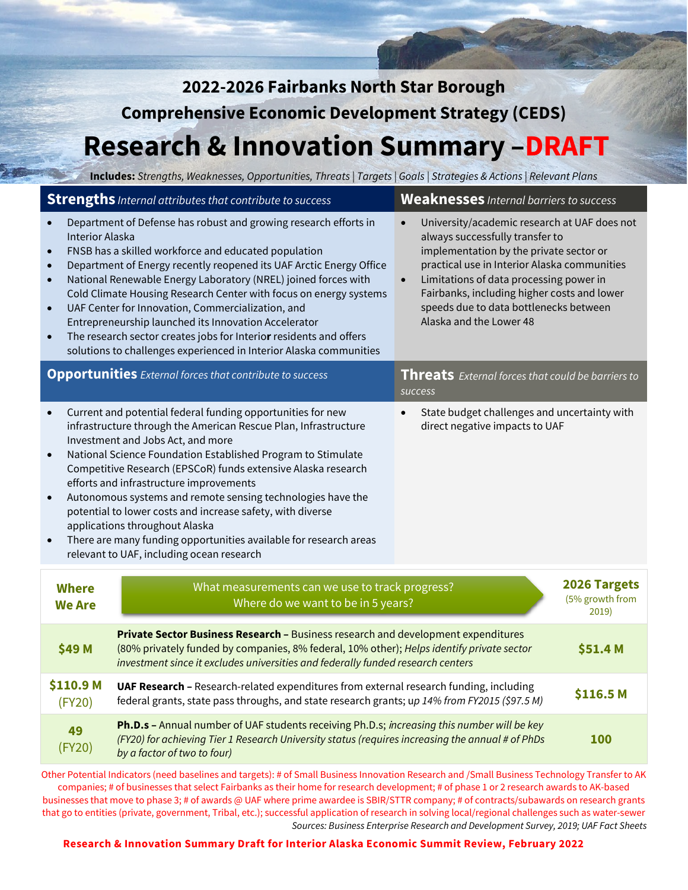| 2022-2026 Fairbanks North Star Borough                                                                                          |                                                                                                                                                                                                                                                                                                                                                                                                                                                                                                                                                                                                                                  |                                                                                                                                                                                                                                                                                                                                                                     |                                        |  |  |  |
|---------------------------------------------------------------------------------------------------------------------------------|----------------------------------------------------------------------------------------------------------------------------------------------------------------------------------------------------------------------------------------------------------------------------------------------------------------------------------------------------------------------------------------------------------------------------------------------------------------------------------------------------------------------------------------------------------------------------------------------------------------------------------|---------------------------------------------------------------------------------------------------------------------------------------------------------------------------------------------------------------------------------------------------------------------------------------------------------------------------------------------------------------------|----------------------------------------|--|--|--|
| <b>Comprehensive Economic Development Strategy (CEDS)</b>                                                                       |                                                                                                                                                                                                                                                                                                                                                                                                                                                                                                                                                                                                                                  |                                                                                                                                                                                                                                                                                                                                                                     |                                        |  |  |  |
| <b>Research &amp; Innovation Summary -DRAFT</b>                                                                                 |                                                                                                                                                                                                                                                                                                                                                                                                                                                                                                                                                                                                                                  |                                                                                                                                                                                                                                                                                                                                                                     |                                        |  |  |  |
|                                                                                                                                 | Includes: Strengths, Weaknesses, Opportunities, Threats   Targets   Goals   Strategies & Actions   Relevant Plans                                                                                                                                                                                                                                                                                                                                                                                                                                                                                                                |                                                                                                                                                                                                                                                                                                                                                                     |                                        |  |  |  |
|                                                                                                                                 | <b>Strengths</b> Internal attributes that contribute to success                                                                                                                                                                                                                                                                                                                                                                                                                                                                                                                                                                  | <b>Weaknesses</b> Internal barriers to success                                                                                                                                                                                                                                                                                                                      |                                        |  |  |  |
| $\bullet$<br><b>Interior Alaska</b><br>$\bullet$<br>$\bullet$<br>$\bullet$<br>$\bullet$<br>$\bullet$                            | Department of Defense has robust and growing research efforts in<br>FNSB has a skilled workforce and educated population<br>Department of Energy recently reopened its UAF Arctic Energy Office<br>National Renewable Energy Laboratory (NREL) joined forces with<br>Cold Climate Housing Research Center with focus on energy systems<br>UAF Center for Innovation, Commercialization, and<br>Entrepreneurship launched its Innovation Accelerator<br>The research sector creates jobs for Interior residents and offers<br>solutions to challenges experienced in Interior Alaska communities                                  | University/academic research at UAF does not<br>$\bullet$<br>always successfully transfer to<br>implementation by the private sector or<br>practical use in Interior Alaska communities<br>Limitations of data processing power in<br>$\bullet$<br>Fairbanks, including higher costs and lower<br>speeds due to data bottlenecks between<br>Alaska and the Lower 48 |                                        |  |  |  |
|                                                                                                                                 | <b>Opportunities</b> External forces that contribute to success                                                                                                                                                                                                                                                                                                                                                                                                                                                                                                                                                                  | Threats External forces that could be barriers to<br>success                                                                                                                                                                                                                                                                                                        |                                        |  |  |  |
| $\bullet$<br>$\bullet$<br>$\bullet$                                                                                             | Current and potential federal funding opportunities for new<br>infrastructure through the American Rescue Plan, Infrastructure<br>Investment and Jobs Act, and more<br>National Science Foundation Established Program to Stimulate<br>Competitive Research (EPSCoR) funds extensive Alaska research<br>efforts and infrastructure improvements<br>Autonomous systems and remote sensing technologies have the<br>potential to lower costs and increase safety, with diverse<br>applications throughout Alaska<br>There are many funding opportunities available for research areas<br>relevant to UAF, including ocean research | State budget challenges and uncertainty with<br>$\bullet$<br>direct negative impacts to UAF                                                                                                                                                                                                                                                                         |                                        |  |  |  |
| What measurements can we use to track progress?<br><b>Where</b><br>Where do we want to be in 5 years?<br><b>We Are</b><br>2019) |                                                                                                                                                                                                                                                                                                                                                                                                                                                                                                                                                                                                                                  |                                                                                                                                                                                                                                                                                                                                                                     | <b>2026 Targets</b><br>(5% growth from |  |  |  |
| \$49 M                                                                                                                          | Private Sector Business Research - Business research and development expenditures<br>(80% privately funded by companies, 8% federal, 10% other); Helps identify private sector<br>investment since it excludes universities and federally funded research centers                                                                                                                                                                                                                                                                                                                                                                |                                                                                                                                                                                                                                                                                                                                                                     | \$51.4 M                               |  |  |  |
| \$110.9 <sub>M</sub><br>(FY20)                                                                                                  | UAF Research - Research-related expenditures from external research funding, including<br>\$116.5 M<br>federal grants, state pass throughs, and state research grants; up 14% from FY2015 (\$97.5 M)                                                                                                                                                                                                                                                                                                                                                                                                                             |                                                                                                                                                                                                                                                                                                                                                                     |                                        |  |  |  |
| 49<br>(FY20)                                                                                                                    | Ph.D.s - Annual number of UAF students receiving Ph.D.s; increasing this number will be key<br>(FY20) for achieving Tier 1 Research University status (requires increasing the annual # of PhDs<br><b>100</b><br>by a factor of two to four)                                                                                                                                                                                                                                                                                                                                                                                     |                                                                                                                                                                                                                                                                                                                                                                     |                                        |  |  |  |

Other Potential Indicators (need baselines and targets): # of Small Business Innovation Research and /Small Business Technology Transfer to AK companies; # of businesses that select Fairbanks as their home for research development; # of phase 1 or 2 research awards to AK-based businesses that move to phase 3; # of awards @ UAF where prime awardee is SBIR/STTR company; # of contracts/subawards on research grants that go to entities (private, government, Tribal, etc.); successful application of research in solving local/regional challenges such as water-sewer *Sources: Business Enterprise Research and Development Survey, 2019; UAF Fact Sheets*

#### **Research & Innovation Summary Draft for Interior Alaska Economic Summit Review, February 2022**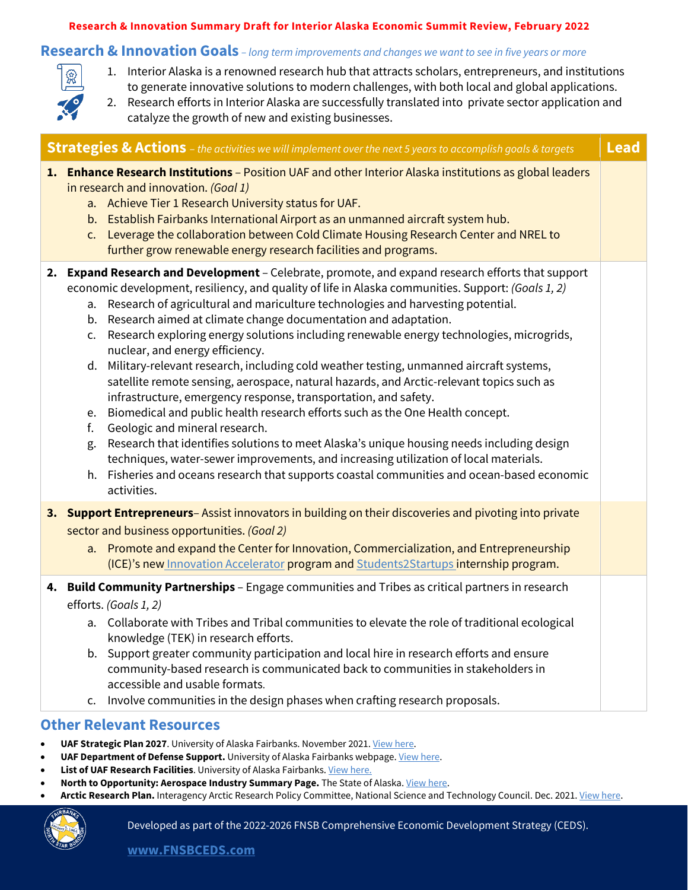#### **Research & Innovation Summary Draft for Interior Alaska Economic Summit Review, February 2022**

### **Research & Innovation Goals** *– long term improvements and changes we want to see in five years or more*

- 1. Interior Alaska is a renowned research hub that attracts scholars, entrepreneurs, and institutions to generate innovative solutions to modern challenges, with both local and global applications.
- 2. Research efforts in Interior Alaska are successfully translated into private sector application and catalyze the growth of new and existing businesses.

| <b>Strategies &amp; Actions</b> - the activities we will implement over the next 5 years to accomplish goals & targets                                                                                                                                                                                                                                                                                                                                                                                                                                                                                                                                                                                                                                                                                                                                                                                                                                                                                                                                                                                                                                                                                                  | <b>Lead</b> |
|-------------------------------------------------------------------------------------------------------------------------------------------------------------------------------------------------------------------------------------------------------------------------------------------------------------------------------------------------------------------------------------------------------------------------------------------------------------------------------------------------------------------------------------------------------------------------------------------------------------------------------------------------------------------------------------------------------------------------------------------------------------------------------------------------------------------------------------------------------------------------------------------------------------------------------------------------------------------------------------------------------------------------------------------------------------------------------------------------------------------------------------------------------------------------------------------------------------------------|-------------|
| 1. Enhance Research Institutions - Position UAF and other Interior Alaska institutions as global leaders<br>in research and innovation. (Goal 1)<br>a. Achieve Tier 1 Research University status for UAF.<br>b. Establish Fairbanks International Airport as an unmanned aircraft system hub.<br>c. Leverage the collaboration between Cold Climate Housing Research Center and NREL to<br>further grow renewable energy research facilities and programs.                                                                                                                                                                                                                                                                                                                                                                                                                                                                                                                                                                                                                                                                                                                                                              |             |
| 2. Expand Research and Development - Celebrate, promote, and expand research efforts that support<br>economic development, resiliency, and quality of life in Alaska communities. Support: (Goals 1, 2)<br>Research of agricultural and mariculture technologies and harvesting potential.<br>a.<br>Research aimed at climate change documentation and adaptation.<br>b.<br>Research exploring energy solutions including renewable energy technologies, microgrids,<br>c.<br>nuclear, and energy efficiency.<br>Military-relevant research, including cold weather testing, unmanned aircraft systems,<br>d.<br>satellite remote sensing, aerospace, natural hazards, and Arctic-relevant topics such as<br>infrastructure, emergency response, transportation, and safety.<br>Biomedical and public health research efforts such as the One Health concept.<br>e.<br>Geologic and mineral research.<br>f.<br>Research that identifies solutions to meet Alaska's unique housing needs including design<br>g.<br>techniques, water-sewer improvements, and increasing utilization of local materials.<br>Fisheries and oceans research that supports coastal communities and ocean-based economic<br>h.<br>activities. |             |
| 3. Support Entrepreneurs-Assist innovators in building on their discoveries and pivoting into private<br>sector and business opportunities. (Goal 2)<br>Promote and expand the Center for Innovation, Commercialization, and Entrepreneurship<br>a.<br>(ICE)'s new Innovation Accelerator program and Students2Startups internship program.                                                                                                                                                                                                                                                                                                                                                                                                                                                                                                                                                                                                                                                                                                                                                                                                                                                                             |             |
| 4. Build Community Partnerships - Engage communities and Tribes as critical partners in research<br>efforts. (Goals 1, 2)<br>a. Collaborate with Tribes and Tribal communities to elevate the role of traditional ecological<br>knowledge (TEK) in research efforts.<br>Support greater community participation and local hire in research efforts and ensure<br>b.<br>community-based research is communicated back to communities in stakeholders in<br>accessible and usable formats.<br>c. Involve communities in the design phases when crafting research proposals.                                                                                                                                                                                                                                                                                                                                                                                                                                                                                                                                                                                                                                               |             |

## **Other Relevant Resources**

- **UAF Strategic Plan 2027**. University of Alaska Fairbanks. November 2021[. View here.](https://uaf.edu/strategic/goals.php)
- **UAF Department of Defense Support.** University of Alaska Fairbanks webpage[. View here.](https://uafresearchdod.com/)
- **List of UAF Research Facilities**. University of Alaska Fairbanks[. View here.](https://www.uaf.edu/research/research-entities/index.php)
- **North to Opportunity: Aerospace Industry Summary Page.** The State of Alaska[. View here.](http://north2opportunity.com/industries/aerospace/)
- **Arctic Research Plan.** Interagency Arctic Research Policy Committee, National Science and Technology Council. Dec. 2021[. View here.](https://www.iarpccollaborations.org/plan/index.html)

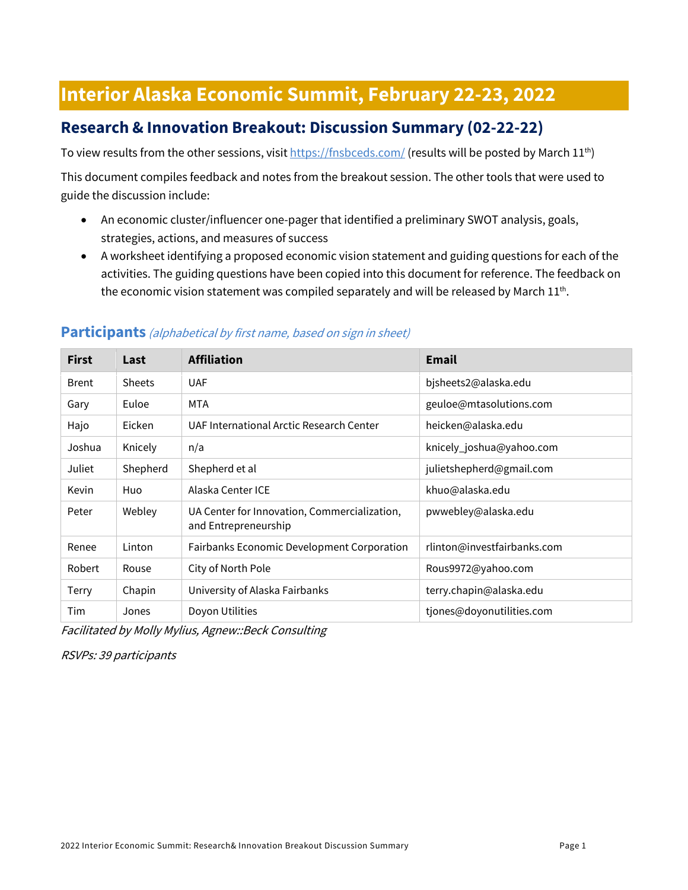# **Interior Alaska Economic Summit, February 22-23, 2022**

# **Research & Innovation Breakout: Discussion Summary (02-22-22)**

To view results from the other sessions, visi[t https://fnsbceds.com/](https://fnsbceds.com/) (results will be posted by March 11<sup>th</sup>)

This document compiles feedback and notes from the breakout session. The other tools that were used to guide the discussion include:

- An economic cluster/influencer one-pager that identified a preliminary SWOT analysis, goals, strategies, actions, and measures of success
- A worksheet identifying a proposed economic vision statement and guiding questions for each of the activities. The guiding questions have been copied into this document for reference. The feedback on the economic vision statement was compiled separately and will be released by March  $11^{th}$ .

| <b>First</b> | Last          | <b>Affiliation</b>                                                   | <b>Email</b>                |
|--------------|---------------|----------------------------------------------------------------------|-----------------------------|
| <b>Brent</b> | <b>Sheets</b> | <b>UAF</b>                                                           | bjsheets2@alaska.edu        |
| Gary         | Euloe         | MTA                                                                  | geuloe@mtasolutions.com     |
| Hajo         | Eicken        | UAF International Arctic Research Center                             | heicken@alaska.edu          |
| Joshua       | Knicely       | n/a                                                                  | knicely_joshua@yahoo.com    |
| Juliet       | Shepherd      | Shepherd et al                                                       | julietshepherd@gmail.com    |
| Kevin        | Huo           | Alaska Center ICE                                                    | khuo@alaska.edu             |
| Peter        | Webley        | UA Center for Innovation, Commercialization,<br>and Entrepreneurship | pwwebley@alaska.edu         |
| Renee        | Linton        | Fairbanks Economic Development Corporation                           | rlinton@investfairbanks.com |
| Robert       | Rouse         | City of North Pole                                                   | Rous9972@yahoo.com          |
| Terry        | Chapin        | University of Alaska Fairbanks                                       | terry.chapin@alaska.edu     |
| Tim          | Jones         | Doyon Utilities                                                      | tjones@doyonutilities.com   |

### **Participants** (alphabetical by first name, based on sign in sheet)

Facilitated by Molly Mylius, Agnew::Beck Consulting

RSVPs: 39 participants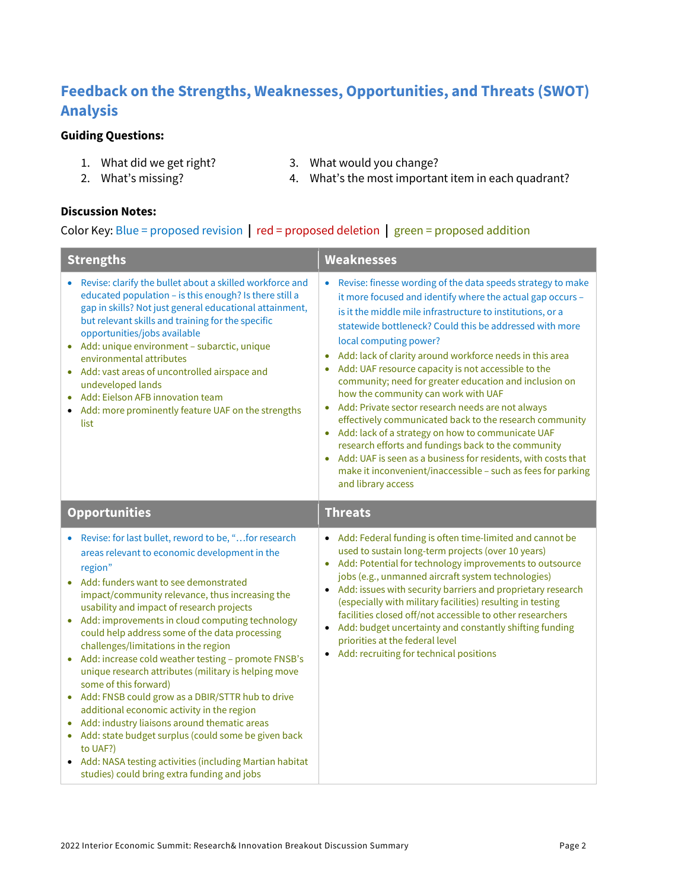# **Feedback on the Strengths, Weaknesses, Opportunities, and Threats (SWOT) Analysis**

### **Guiding Questions:**

- 
- 2. What's missing?
- 1. What did we get right? 3. What would you change?
- 

4. What's the most important item in each quadrant?

**Discussion Notes:**

#### Color Key: Blue = proposed revision **|** red = proposed deletion **|** green = proposed addition

| <b>Strengths</b>                                                                                                                                                                                                                                                                                                                                                                                                                                                                                                                                                                                                                                                                                                                                                                                                                                                                         | <b>Weaknesses</b>                                                                                                                                                                                                                                                                                                                                                                                                                                                                                                                                                                                                                                                                                                                                                                                                                                                                                                  |  |
|------------------------------------------------------------------------------------------------------------------------------------------------------------------------------------------------------------------------------------------------------------------------------------------------------------------------------------------------------------------------------------------------------------------------------------------------------------------------------------------------------------------------------------------------------------------------------------------------------------------------------------------------------------------------------------------------------------------------------------------------------------------------------------------------------------------------------------------------------------------------------------------|--------------------------------------------------------------------------------------------------------------------------------------------------------------------------------------------------------------------------------------------------------------------------------------------------------------------------------------------------------------------------------------------------------------------------------------------------------------------------------------------------------------------------------------------------------------------------------------------------------------------------------------------------------------------------------------------------------------------------------------------------------------------------------------------------------------------------------------------------------------------------------------------------------------------|--|
| Revise: clarify the bullet about a skilled workforce and<br>educated population - is this enough? Is there still a<br>gap in skills? Not just general educational attainment,<br>but relevant skills and training for the specific<br>opportunities/jobs available<br>Add: unique environment - subarctic, unique<br>environmental attributes<br>Add: vast areas of uncontrolled airspace and<br>undeveloped lands<br>Add: Eielson AFB innovation team<br>• Add: more prominently feature UAF on the strengths<br>list                                                                                                                                                                                                                                                                                                                                                                   | Revise: finesse wording of the data speeds strategy to make<br>$\bullet$<br>it more focused and identify where the actual gap occurs -<br>is it the middle mile infrastructure to institutions, or a<br>statewide bottleneck? Could this be addressed with more<br>local computing power?<br>Add: lack of clarity around workforce needs in this area<br>۰<br>Add: UAF resource capacity is not accessible to the<br>community; need for greater education and inclusion on<br>how the community can work with UAF<br>Add: Private sector research needs are not always<br>effectively communicated back to the research community<br>Add: lack of a strategy on how to communicate UAF<br>$\bullet$<br>research efforts and fundings back to the community<br>Add: UAF is seen as a business for residents, with costs that<br>make it inconvenient/inaccessible - such as fees for parking<br>and library access |  |
| <b>Opportunities</b>                                                                                                                                                                                                                                                                                                                                                                                                                                                                                                                                                                                                                                                                                                                                                                                                                                                                     | <b>Threats</b>                                                                                                                                                                                                                                                                                                                                                                                                                                                                                                                                                                                                                                                                                                                                                                                                                                                                                                     |  |
| • Revise: for last bullet, reword to be, "for research<br>areas relevant to economic development in the<br>region"<br>Add: funders want to see demonstrated<br>impact/community relevance, thus increasing the<br>usability and impact of research projects<br>Add: improvements in cloud computing technology<br>could help address some of the data processing<br>challenges/limitations in the region<br>Add: increase cold weather testing - promote FNSB's<br>unique research attributes (military is helping move<br>some of this forward)<br>• Add: FNSB could grow as a DBIR/STTR hub to drive<br>additional economic activity in the region<br>Add: industry liaisons around thematic areas<br>Add: state budget surplus (could some be given back<br>۰<br>to UAF?)<br>• Add: NASA testing activities (including Martian habitat<br>studies) could bring extra funding and jobs | • Add: Federal funding is often time-limited and cannot be<br>used to sustain long-term projects (over 10 years)<br>Add: Potential for technology improvements to outsource<br>$\bullet$<br>jobs (e.g., unmanned aircraft system technologies)<br>• Add: issues with security barriers and proprietary research<br>(especially with military facilities) resulting in testing<br>facilities closed off/not accessible to other researchers<br>• Add: budget uncertainty and constantly shifting funding<br>priorities at the federal level<br>• Add: recruiting for technical positions                                                                                                                                                                                                                                                                                                                            |  |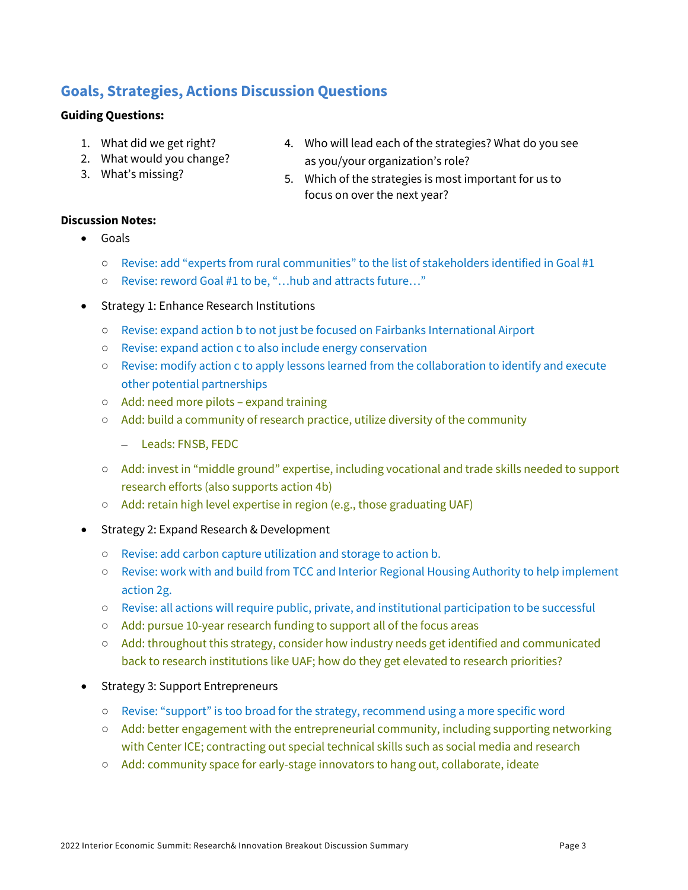# **Goals, Strategies, Actions Discussion Questions**

#### **Guiding Questions:**

- 1. What did we get right?
- 2. What would you change?
- 3. What's missing?
- 4. Who will lead each of the strategies? What do you see as you/your organization's role?
- 5. Which of the strategies is most important for us to focus on over the next year?

#### **Discussion Notes:**

- Goals
	- Revise: add "experts from rural communities" to the list of stakeholders identified in Goal #1
	- Revise: reword Goal #1 to be, "…hub and attracts future…"
- Strategy 1: Enhance Research Institutions
	- Revise: expand action b to not just be focused on Fairbanks International Airport
	- Revise: expand action c to also include energy conservation
	- Revise: modify action c to apply lessons learned from the collaboration to identify and execute other potential partnerships
	- Add: need more pilots expand training
	- Add: build a community of research practice, utilize diversity of the community
		- Leads: FNSB, FEDC
	- Add: invest in "middle ground" expertise, including vocational and trade skills needed to support research efforts (also supports action 4b)
	- Add: retain high level expertise in region (e.g., those graduating UAF)
- Strategy 2: Expand Research & Development
	- Revise: add carbon capture utilization and storage to action b.
	- Revise: work with and build from TCC and Interior Regional Housing Authority to help implement action 2g.
	- Revise: all actions will require public, private, and institutional participation to be successful
	- Add: pursue 10-year research funding to support all of the focus areas
	- Add: throughout this strategy, consider how industry needs get identified and communicated back to research institutions like UAF; how do they get elevated to research priorities?
- Strategy 3: Support Entrepreneurs
	- Revise: "support" is too broad for the strategy, recommend using a more specific word
	- Add: better engagement with the entrepreneurial community, including supporting networking with Center ICE; contracting out special technical skills such as social media and research
	- Add: community space for early-stage innovators to hang out, collaborate, ideate